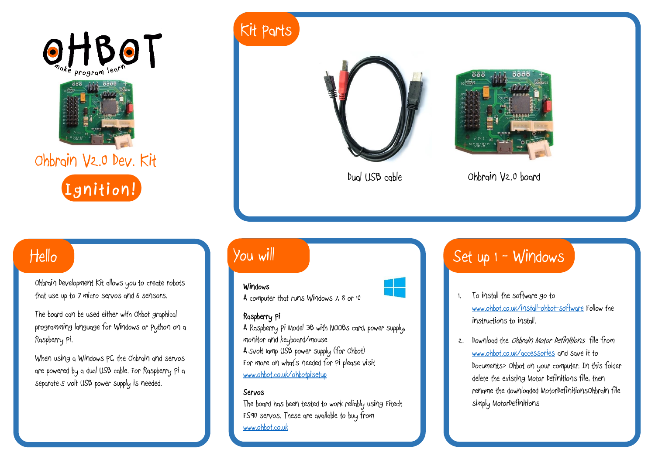



Ohbrain V2.0 Dev. Kit



## Hello

Ohbrain Development Kit allows you to create robots that use up to 7 micro servos and 6 sensors.

The board can be used either with Ohbot graphical programming language for Windows or Python on a Raspberry Pi.

When using a Windows PC, the Ohbrain and servos are powered by a dual USB cable. For Raspberry Pi a separate 5 volt USB power supply is needed.

# Kit Parts





Dual USB cable Ohbrain V2.0 board

## You will

### **k**<br>**Windows**



# Set up  $1 -$  Windows

- 1. To install the software go to [www.ohbot.co.uk/install-ohbot-software](http://www.ohbot.co.uk/install-ohbot-software) Follow the instructions to install.
- 2. Download the Ohbrain Motor Definitions file from [www.ohbot.co.uk/accessories](http://www.ohbot.co.uk/accessories) and save it to Documents> Ohbot on your computer. In this folder delete the existing Motor Definitions file, then rename the downloaded MotorDefinitionsOhbrain file simply MotorDefinitions

### A computer that runs Windows 7, 8 or 10

### **Raspberry Pi**

A Raspberry Pi Model 3B with NOOBs card, power supply, monitor and keyboard/mouse A 5volt 1amp USB power supply (for Ohbot) For more on what's needed for Pi please visit [www.ohbot.co.uk/ohbotpisetup](http://www.ohbot.co.uk/ohbotpisetup)

#### **Servos**

The board has been tested to work reliably using Fitech FS90 servos. These are available to buy from [www.ohbot.co.uk](http://www.ohbot.co.uk/)